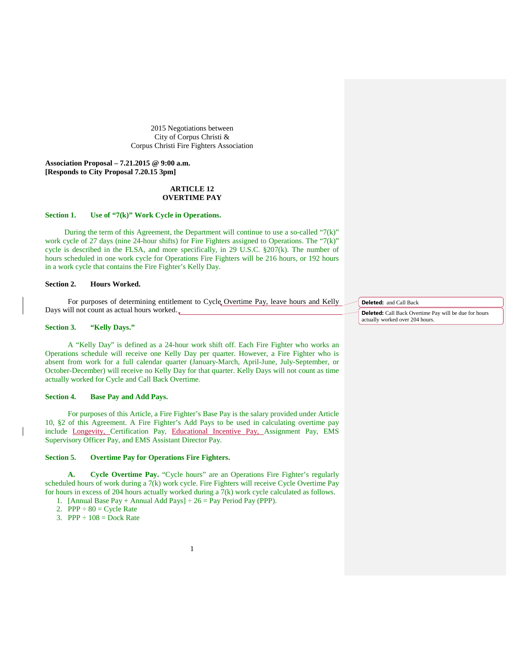2015 Negotiations between City of Corpus Christi & Corpus Christi Fire Fighters Association

**Association Proposal – 7.21.2015 @ 9:00 a.m. [Responds to City Proposal 7.20.15 3pm]**

## **ARTICLE 12 OVERTIME PAY**

## **Section 1. Use of "7(k)" Work Cycle in Operations.**

During the term of this Agreement, the Department will continue to use a so-called " $7(k)$ " work cycle of 27 days (nine 24-hour shifts) for Fire Fighters assigned to Operations. The "7(k)" cycle is described in the FLSA, and more specifically, in 29 U.S.C.  $\S 207(k)$ . The number of hours scheduled in one work cycle for Operations Fire Fighters will be 216 hours, or 192 hours in a work cycle that contains the Fire Fighter's Kelly Day.

### **Section 2. Hours Worked.**

For purposes of determining entitlement to Cycle Overtime Pay, leave hours and Kelly Days will not count as actual hours worked.

### **Section 3. "Kelly Days."**

A "Kelly Day" is defined as a 24-hour work shift off. Each Fire Fighter who works an Operations schedule will receive one Kelly Day per quarter. However, a Fire Fighter who is absent from work for a full calendar quarter (January-March, April-June, July-September, or October-December) will receive no Kelly Day for that quarter. Kelly Days will not count as time actually worked for Cycle and Call Back Overtime.

#### **Section 4. Base Pay and Add Pays.**

For purposes of this Article, a Fire Fighter's Base Pay is the salary provided under Article 10, §2 of this Agreement. A Fire Fighter's Add Pays to be used in calculating overtime pay include Longevity, Certification Pay, Educational Incentive Pay, Assignment Pay, EMS Supervisory Officer Pay, and EMS Assistant Director Pay.

## **Section 5. Overtime Pay for Operations Fire Fighters.**

**A. Cycle Overtime Pay.** "Cycle hours" are an Operations Fire Fighter's regularly scheduled hours of work during a 7(k) work cycle. Fire Fighters will receive Cycle Overtime Pay for hours in excess of 204 hours actually worked during a 7(k) work cycle calculated as follows. 1. [Annual Base Pay + Annual Add Pays]  $\div 26$  = Pay Period Pay (PPP).

- 2. PPP  $\div 80 = \text{Cycle Rate}$
- 3. PPP  $\div 108$  = Dock Rate
- 

**Deleted:** and Call Back

**Deleted:** Call Back Overtime Pay will be due for hours actually worked over 204 hours.